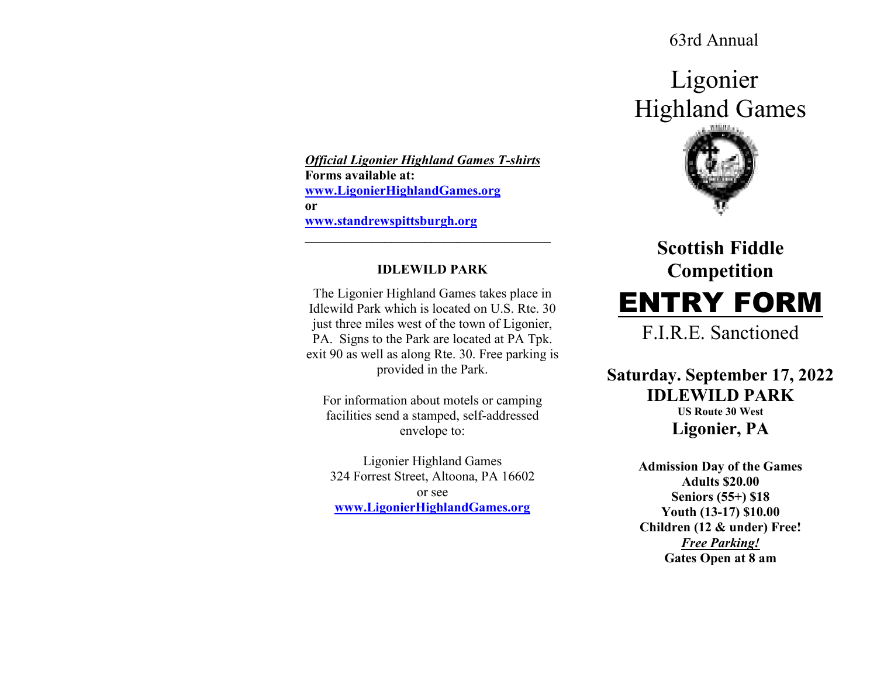63rd Annual

Ligonier Highland Games



# **Scottish Fiddle Competition** ENTRY FORM

F.I.R.E. Sanctioned

**Saturday. September 17, 2022IDLEWILD PARK US Route 30 West Ligonier, PA** 

> **Admission Day of the Games Adults \$20.00 Seniors (55+) \$18 Youth (13-17) \$10.00 Children (12 & under) Free!** *Free Parking!***Gates Open at 8 am**

*Official Ligonier Highland Games T-shirts***Forms available at: www.LigonierHighlandGames.orgor www.standrewspittsburgh.org**

### **IDLEWILD PARK**

**\_\_\_\_\_\_\_\_\_\_\_\_\_\_\_\_\_\_\_\_\_\_\_\_\_\_\_\_\_\_\_\_\_\_\_\_\_** 

The Ligonier Highland Games takes place in Idlewild Park which is located on U.S. Rte. 30 just three miles west of the town of Ligonier, PA. Signs to the Park are located at PA Tpk. exit 90 as well as along Rte. 30. Free parking is provided in the Park.

For information about motels or camping facilities send a stamped, self-addressed envelope to:

Ligonier Highland Games 324 Forrest Street, Altoona, PA 16602 or see **www.LigonierHighlandGames.org**